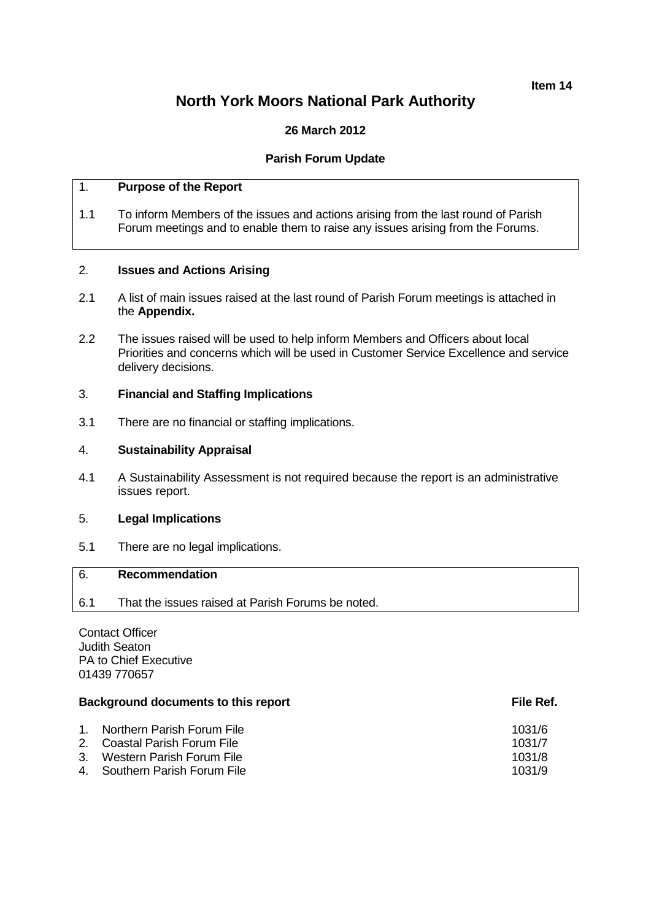#### **Item 14**

# **North York Moors National Park Authority**

# **26 March 2012**

# **Parish Forum Update**

# 1. **Purpose of the Report**

1.1 To inform Members of the issues and actions arising from the last round of Parish Forum meetings and to enable them to raise any issues arising from the Forums.

#### 2. **Issues and Actions Arising**

- 2.1 A list of main issues raised at the last round of Parish Forum meetings is attached in the **Appendix.**
- 2.2 The issues raised will be used to help inform Members and Officers about local Priorities and concerns which will be used in Customer Service Excellence and service delivery decisions.

#### 3. **Financial and Staffing Implications**

3.1 There are no financial or staffing implications.

## 4. **Sustainability Appraisal**

4.1 A Sustainability Assessment is not required because the report is an administrative issues report.

#### 5. **Legal Implications**

5.1 There are no legal implications.

# 6. **Recommendation**

6.1 That the issues raised at Parish Forums be noted.

Contact Officer Judith Seaton PA to Chief Executive 01439 770657

## **Background documents to this report File Ref.** And The Ref.

| 1. Northern Parish Forum File | 1031/6 |
|-------------------------------|--------|
| 2. Coastal Parish Forum File  | 1031/7 |
| 3. Western Parish Forum File  | 1031/8 |
| 4. Southern Parish Forum File | 1031/9 |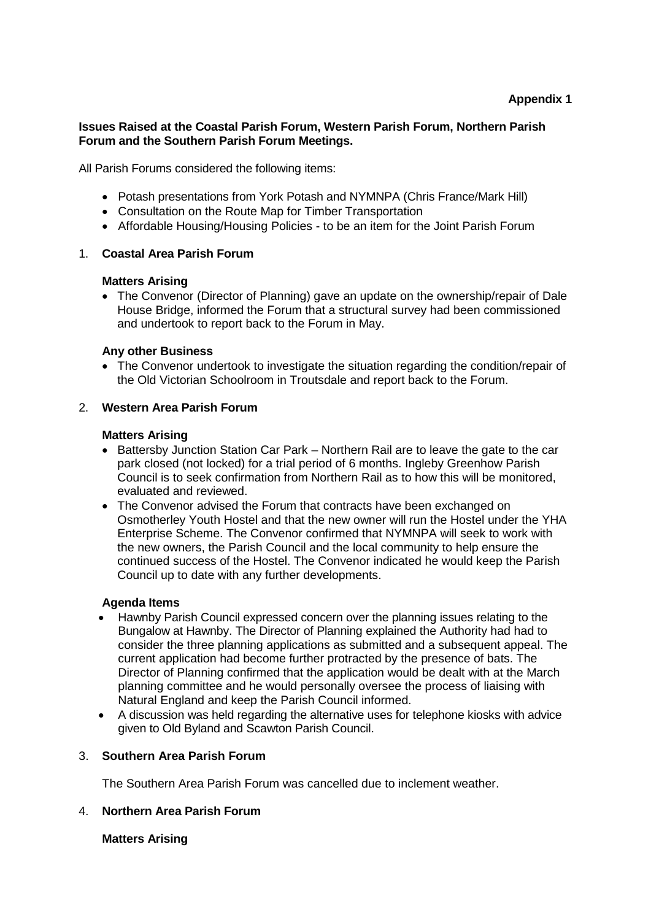#### **Issues Raised at the Coastal Parish Forum, Western Parish Forum, Northern Parish Forum and the Southern Parish Forum Meetings.**

All Parish Forums considered the following items:

- Potash presentations from York Potash and NYMNPA (Chris France/Mark Hill)
- Consultation on the Route Map for Timber Transportation
- Affordable Housing/Housing Policies to be an item for the Joint Parish Forum

#### 1. **Coastal Area Parish Forum**

#### **Matters Arising**

• The Convenor (Director of Planning) gave an update on the ownership/repair of Dale House Bridge, informed the Forum that a structural survey had been commissioned and undertook to report back to the Forum in May.

#### **Any other Business**

• The Convenor undertook to investigate the situation regarding the condition/repair of the Old Victorian Schoolroom in Troutsdale and report back to the Forum.

#### 2. **Western Area Parish Forum**

#### **Matters Arising**

- Battersby Junction Station Car Park Northern Rail are to leave the gate to the car park closed (not locked) for a trial period of 6 months. Ingleby Greenhow Parish Council is to seek confirmation from Northern Rail as to how this will be monitored, evaluated and reviewed.
- The Convenor advised the Forum that contracts have been exchanged on Osmotherley Youth Hostel and that the new owner will run the Hostel under the YHA Enterprise Scheme. The Convenor confirmed that NYMNPA will seek to work with the new owners, the Parish Council and the local community to help ensure the continued success of the Hostel. The Convenor indicated he would keep the Parish Council up to date with any further developments.

#### **Agenda Items**

- Hawnby Parish Council expressed concern over the planning issues relating to the Bungalow at Hawnby. The Director of Planning explained the Authority had had to consider the three planning applications as submitted and a subsequent appeal. The current application had become further protracted by the presence of bats. The Director of Planning confirmed that the application would be dealt with at the March planning committee and he would personally oversee the process of liaising with Natural England and keep the Parish Council informed.
- A discussion was held regarding the alternative uses for telephone kiosks with advice given to Old Byland and Scawton Parish Council.

# 3. **Southern Area Parish Forum**

The Southern Area Parish Forum was cancelled due to inclement weather.

# 4. **Northern Area Parish Forum**

**Matters Arising**